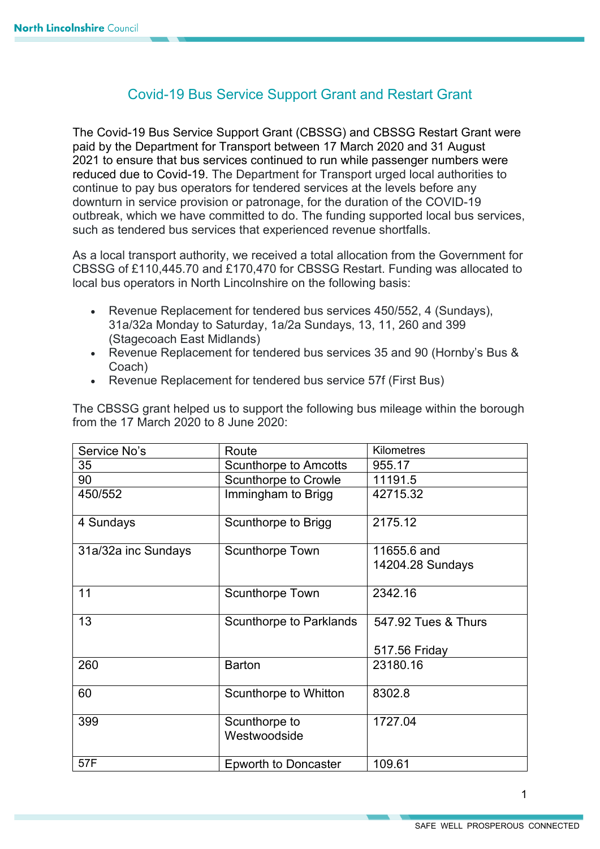## Covid-19 Bus Service Support Grant and Restart Grant

The Covid-19 Bus Service Support Grant (CBSSG) and CBSSG Restart Grant were paid by the Department for Transport between 17 March 2020 and 31 August 2021 to ensure that bus services continued to run while passenger numbers were reduced due to Covid-19. The Department for Transport urged local authorities to continue to pay bus operators for tendered services at the levels before any downturn in service provision or patronage, for the duration of the COVID-19 outbreak, which we have committed to do. The funding supported local bus services, such as tendered bus services that experienced revenue shortfalls.

As a local transport authority, we received a total allocation from the Government for CBSSG of £110,445.70 and £170,470 for CBSSG Restart. Funding was allocated to local bus operators in North Lincolnshire on the following basis:

- Revenue Replacement for tendered bus services 450/552, 4 (Sundays), 31a/32a Monday to Saturday, 1a/2a Sundays, 13, 11, 260 and 399 (Stagecoach East Midlands)
- Revenue Replacement for tendered bus services 35 and 90 (Hornby's Bus & Coach)
- Revenue Replacement for tendered bus service 57f (First Bus)

| The CBSSG grant helped us to support the following bus mileage within the borough |
|-----------------------------------------------------------------------------------|
| from the 17 March 2020 to 8 June 2020:                                            |
|                                                                                   |

| Service No's        | Route                          | <b>Kilometres</b>               |
|---------------------|--------------------------------|---------------------------------|
| 35                  | <b>Scunthorpe to Amcotts</b>   | 955.17                          |
| 90                  | <b>Scunthorpe to Crowle</b>    | 11191.5                         |
| 450/552             | Immingham to Brigg             | 42715.32                        |
| 4 Sundays           | Scunthorpe to Brigg            | 2175.12                         |
| 31a/32a inc Sundays | <b>Scunthorpe Town</b>         | 11655.6 and<br>14204.28 Sundays |
| 11                  | <b>Scunthorpe Town</b>         | 2342.16                         |
| 13                  | <b>Scunthorpe to Parklands</b> | 547.92 Tues & Thurs             |
|                     |                                | 517.56 Friday                   |
| 260                 | <b>Barton</b>                  | 23180.16                        |
| 60                  | Scunthorpe to Whitton          | 8302.8                          |
| 399                 | Scunthorpe to<br>Westwoodside  | 1727.04                         |
| 57F                 | <b>Epworth to Doncaster</b>    | 109.61                          |